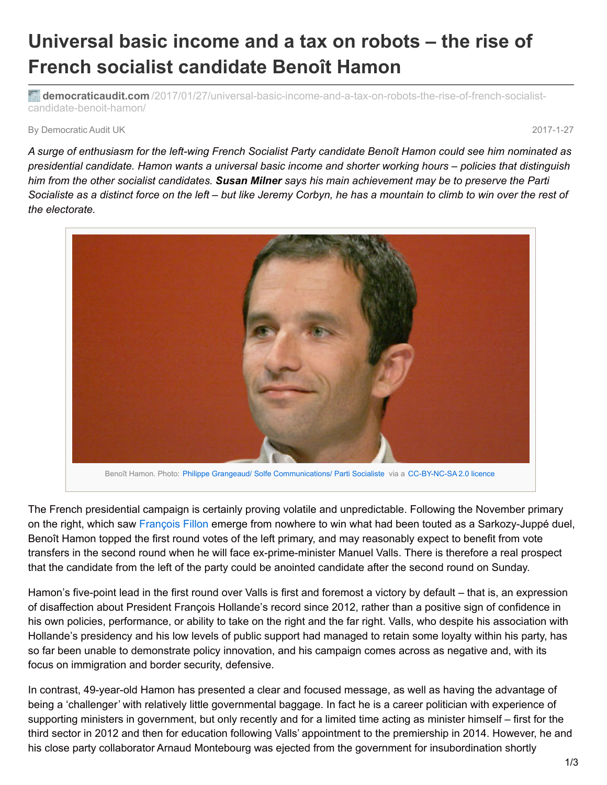## **Universal basic income and a tax on robots – the rise of French socialist candidate Benoît Hamon**

**democraticaudit.com** [/2017/01/27/universal-basic-income-and-a-tax-on-robots-the-rise-of-french-socialist](http://www.democraticaudit.com/2017/01/27/universal-basic-income-and-a-tax-on-robots-the-rise-of-french-socialist-candidate-benoit-hamon/)candidate-benoit-hamon/

By Democratic Audit UK 2017-1-27

A surge of enthusiasm for the left-wing French Socialist Party candidate Benoît Hamon could see him nominated as presidential candidate. Hamon wants a universal basic income and shorter working hours – policies that distinguish him from the other socialist candidates. Susan Milner says his main achievement may be to preserve the Parti Socialiste as a distinct force on the left – but like Jeremy Corbyn, he has a mountain to climb to win over the rest of *the electorate.*



Benoît Hamon. Photo: Philippe Grangeaud/ Solfe [Communications/](https://www.flickr.com/photos/partisocialiste/229180460/in/photolist-mfBnf-7mpqiC-7mkvTp-7mkvUx-7mpqgC-7vL45U-9VyoRj-5E1yoK-7vL3K3-CcJuCL-afhGmF-afkAaU-f7p2i4-f7Dhjm-f9r6bj-f7DfBq-f7p5d2-f9bPXi-9fjVKX-afkyVE-f7p2ne-f7uG3H-f7DiyG-f9r4Rm-f9r68o-8DqU3D-oumiEp-8zjKQj-PNS84s-Qcwqjn-PNS7dE-QnMNji-QnMN9t-QnMMrg-f7DfH3-f7JUTJ-f9r6qS-f7JV3L-cb4MDd-f9r5gU-f9r59w-f7DiGy-f7uGbX-f7p2oF-cb4MEW-cb4MH1-f7JVn9-cb4MJq-9foDmJ-atBHeP) Parti Socialiste via a [CC-BY-NC-SA](https://creativecommons.org/licenses/by-nc-sa/2.0/) 2.0 licence

The French presidential campaign is certainly proving volatile and unpredictable. Following the November primary on the right, which saw [François](http://www.newstatesman.com/culture/observations/2016/11/can-fran-ois-fillon-stop-marine-le-pen-becoming-france-s-president) Fillon emerge from nowhere to win what had been touted as a Sarkozy-Juppé duel, Benoît Hamon topped the first round votes of the left primary, and may reasonably expect to benefit from vote transfers in the second round when he will face ex-prime-minister Manuel Valls. There is therefore a real prospect that the candidate from the left of the party could be anointed candidate after the second round on Sunday.

Hamon's five-point lead in the first round over Valls is first and foremost a victory by default – that is, an expression of disaffection about President François Hollande's record since 2012, rather than a positive sign of confidence in his own policies, performance, or ability to take on the right and the far right. Valls, who despite his association with Hollande's presidency and his low levels of public support had managed to retain some loyalty within his party, has so far been unable to demonstrate policy innovation, and his campaign comes across as negative and, with its focus on immigration and border security, defensive.

In contrast, 49-year-old Hamon has presented a clear and focused message, as well as having the advantage of being a 'challenger' with relatively little governmental baggage. In fact he is a career politician with experience of supporting ministers in government, but only recently and for a limited time acting as minister himself – first for the third sector in 2012 and then for education following Valls' appointment to the premiership in 2014. However, he and his close party collaborator Arnaud Montebourg was ejected from the government for insubordination shortly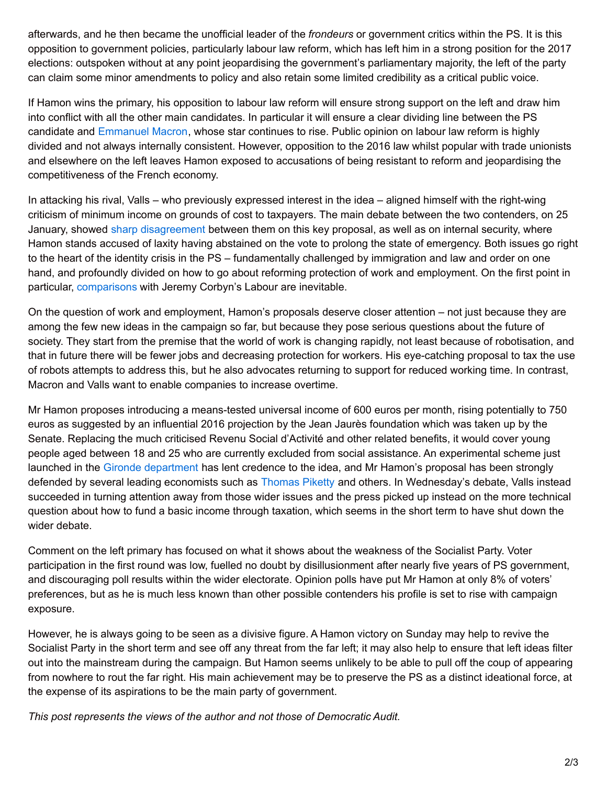afterwards, and he then became the unofficial leader of the *frondeurs* or government critics within the PS. It is this opposition to government policies, particularly labour law reform, which has left him in a strong position for the 2017 elections: outspoken without at any point jeopardising the government's parliamentary majority, the left of the party can claim some minor amendments to policy and also retain some limited credibility as a critical public voice.

If Hamon wins the primary, his opposition to labour law reform will ensure strong support on the left and draw him into conflict with all the other main candidates. In particular it will ensure a clear dividing line between the PS candidate and [Emmanuel](http://www.democraticaudit.com/2016/11/18/emmanuel-macron-and-en-marche-left-right-or-simply-on-the-move/) Macron, whose star continues to rise. Public opinion on labour law reform is highly divided and not always internally consistent. However, opposition to the 2016 law whilst popular with trade unionists and elsewhere on the left leaves Hamon exposed to accusations of being resistant to reform and jeopardising the competitiveness of the French economy.

In attacking his rival, Valls – who previously expressed interest in the idea – aligned himself with the right-wing criticism of minimum income on grounds of cost to taxpayers. The main debate between the two contenders, on 25 January, showed sharp [disagreement](http://www.lemonde.fr/les-decodeurs/article/2017/01/26/primaire-a-gauche-dix-affirmations-du-debat-entre-hamon-et-valls-verifiees_5069455_4355770.html) between them on this key proposal, as well as on internal security, where Hamon stands accused of laxity having abstained on the vote to prolong the state of emergency. Both issues go right to the heart of the identity crisis in the PS – fundamentally challenged by immigration and law and order on one hand, and profoundly divided on how to go about reforming protection of work and employment. On the first point in particular, [comparisons](http://www.newstatesman.com/politics/staggers/2017/01/french-left-having-its-jeremy-corbyn-moment) with Jeremy Corbyn's Labour are inevitable.

On the question of work and employment, Hamon's proposals deserve closer attention – not just because they are among the few new ideas in the campaign so far, but because they pose serious questions about the future of society. They start from the premise that the world of work is changing rapidly, not least because of robotisation, and that in future there will be fewer jobs and decreasing protection for workers. His eye-catching proposal to tax the use of robots attempts to address this, but he also advocates returning to support for reduced working time. In contrast, Macron and Valls want to enable companies to increase overtime.

Mr Hamon proposes introducing a means-tested universal income of 600 euros per month, rising potentially to 750 euros as suggested by an influential 2016 projection by the Jean Jaurès foundation which was taken up by the Senate. Replacing the much criticised Revenu Social d'Activité and other related benefits, it would cover young people aged between 18 and 25 who are currently excluded from social assistance. An experimental scheme just launched in the Gironde [department](http://blogs.bath.ac.uk/iprblog/2016/11/25/from-foucault-to-valls-experiments-with-basic-income-in-france) has lent credence to the idea, and Mr Hamon's proposal has been strongly defended by several leading economists such as [Thomas](http://piketty.blog.lemonde.fr/2017/01/25/pour-un-revenu-universel-credible-et-ambitieux/) Piketty and others. In Wednesday's debate, Valls instead succeeded in turning attention away from those wider issues and the press picked up instead on the more technical question about how to fund a basic income through taxation, which seems in the short term to have shut down the wider debate.

Comment on the left primary has focused on what it shows about the weakness of the Socialist Party. Voter participation in the first round was low, fuelled no doubt by disillusionment after nearly five years of PS government, and discouraging poll results within the wider electorate. Opinion polls have put Mr Hamon at only 8% of voters' preferences, but as he is much less known than other possible contenders his profile is set to rise with campaign exposure.

However, he is always going to be seen as a divisive figure. A Hamon victory on Sunday may help to revive the Socialist Party in the short term and see off any threat from the far left; it may also help to ensure that left ideas filter out into the mainstream during the campaign. But Hamon seems unlikely to be able to pull off the coup of appearing from nowhere to rout the far right. His main achievement may be to preserve the PS as a distinct ideational force, at the expense of its aspirations to be the main party of government.

*This post represents the views of the author and not those of Democratic Audit.*